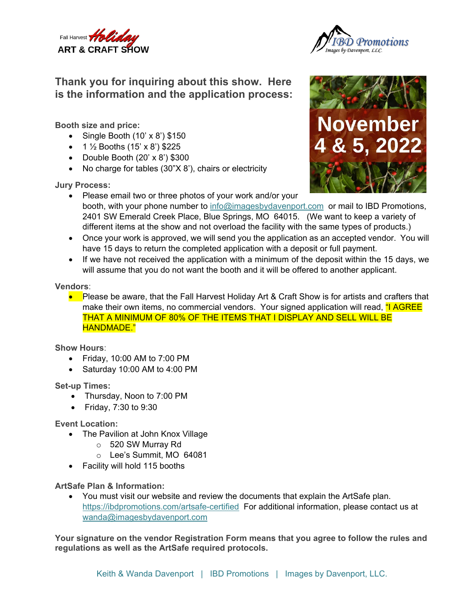



## **Thank you for inquiring about this show. Here is the information and the application process:**

**Booth size and price:** 

- Single Booth  $(10' \times 8')$  \$150
- $1\frac{1}{2}$  Booths (15' x 8') \$225
- Double Booth  $(20' \times 8')$  \$300
- No charge for tables (30"X 8'), chairs or electricity

**Jury Process:** 



- Please email two or three photos of your work and/or your booth, with your phone number to info@imagesbydavenport.com or mail to IBD Promotions, 2401 SW Emerald Creek Place, Blue Springs, MO 64015. (We want to keep a variety of different items at the show and not overload the facility with the same types of products.)
- Once your work is approved, we will send you the application as an accepted vendor. You will have 15 days to return the completed application with a deposit or full payment.
- $\bullet$  If we have not received the application with a minimum of the deposit within the 15 days, we will assume that you do not want the booth and it will be offered to another applicant.

## **Vendors**:

Please be aware, that the Fall Harvest Holiday Art & Craft Show is for artists and crafters that make their own items, no commercial vendors. Your signed application will read, "I AGREE THAT A MINIMUM OF 80% OF THE ITEMS THAT I DISPLAY AND SELL WILL BE HANDMADE."

## **Show Hours**:

- Friday, 10:00 AM to 7:00 PM
- Saturday 10:00 AM to 4:00 PM

**Set-up Times:** 

- Thursday, Noon to 7:00 PM
- Friday, 7:30 to 9:30

**Event Location:** 

- The Pavilion at John Knox Village
	- o 520 SW Murray Rd
	- o Lee's Summit, MO 64081
- Facility will hold 115 booths

**ArtSafe Plan & Information:** 

 You must visit our website and review the documents that explain the ArtSafe plan. https://ibdpromotions.com/artsafe-certified For additional information, please contact us at wanda@imagesbydavenport.com

**Your signature on the vendor Registration Form means that you agree to follow the rules and regulations as well as the ArtSafe required protocols.**